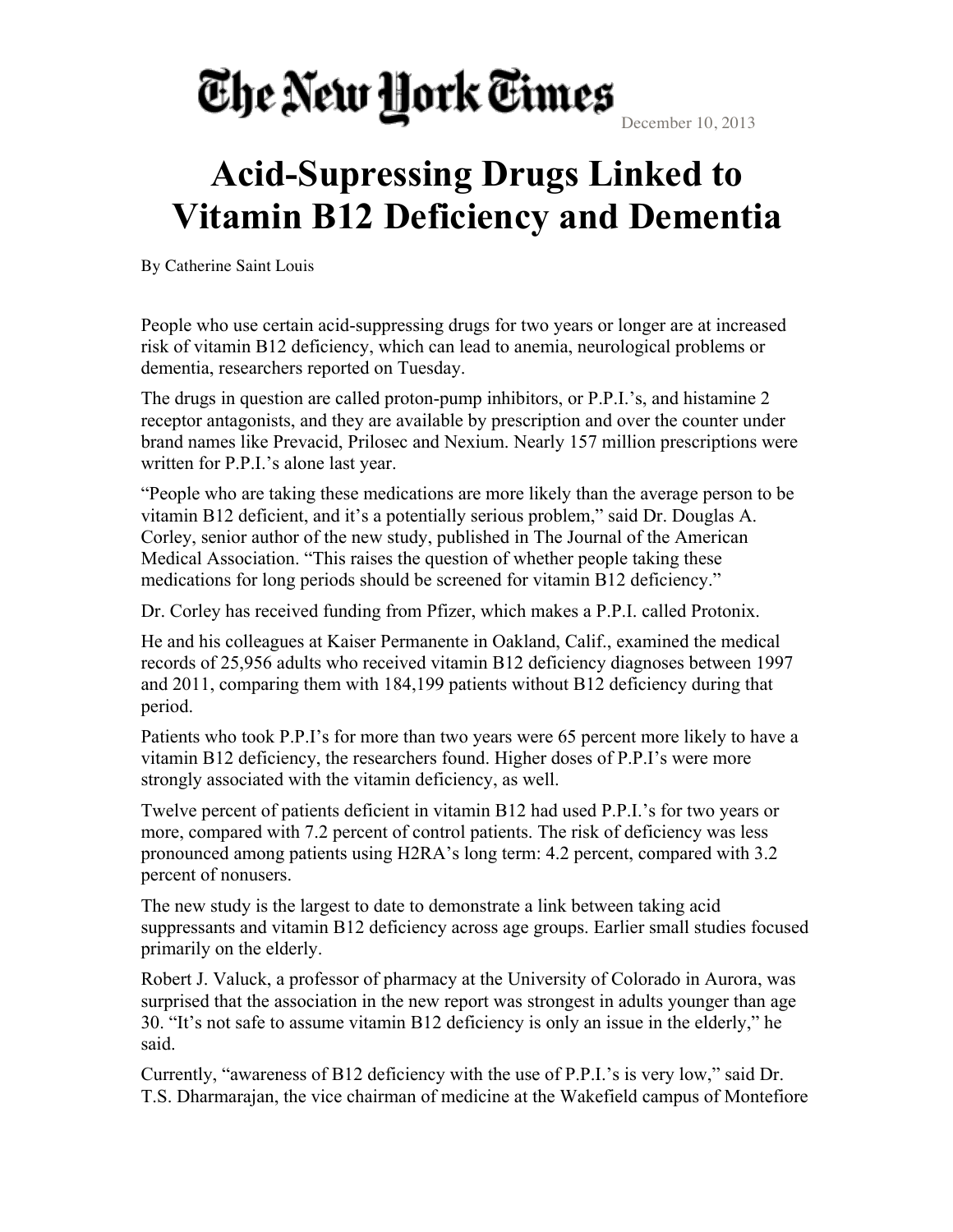## The New York Times

December 10, 2013

## **Acid-Supressing Drugs Linked to Vitamin B12 Deficiency and Dementia**

By Catherine Saint Louis

People who use certain acid-suppressing drugs for two years or longer are at increased risk of vitamin B12 deficiency, which can lead to anemia, neurological problems or dementia, researchers reported on Tuesday.

The drugs in question are called proton-pump inhibitors, or P.P.I.'s, and histamine 2 receptor antagonists, and they are available by prescription and over the counter under brand names like Prevacid, Prilosec and Nexium. Nearly 157 million prescriptions were written for P.P.I.'s alone last year.

"People who are taking these medications are more likely than the average person to be vitamin B12 deficient, and it's a potentially serious problem," said Dr. Douglas A. Corley, senior author of the new study, published in The Journal of the American Medical Association. "This raises the question of whether people taking these medications for long periods should be screened for vitamin B12 deficiency."

Dr. Corley has received funding from Pfizer, which makes a P.P.I. called Protonix.

He and his colleagues at Kaiser Permanente in Oakland, Calif., examined the medical records of 25,956 adults who received vitamin B12 deficiency diagnoses between 1997 and 2011, comparing them with 184,199 patients without B12 deficiency during that period.

Patients who took P.P.I's for more than two years were 65 percent more likely to have a vitamin B12 deficiency, the researchers found. Higher doses of P.P.I's were more strongly associated with the vitamin deficiency, as well.

Twelve percent of patients deficient in vitamin B12 had used P.P.I.'s for two years or more, compared with 7.2 percent of control patients. The risk of deficiency was less pronounced among patients using H2RA's long term: 4.2 percent, compared with 3.2 percent of nonusers.

The new study is the largest to date to demonstrate a link between taking acid suppressants and vitamin B12 deficiency across age groups. Earlier small studies focused primarily on the elderly.

Robert J. Valuck, a professor of pharmacy at the University of Colorado in Aurora, was surprised that the association in the new report was strongest in adults younger than age 30. "It's not safe to assume vitamin B12 deficiency is only an issue in the elderly," he said.

Currently, "awareness of B12 deficiency with the use of P.P.I.'s is very low," said Dr. T.S. Dharmarajan, the vice chairman of medicine at the Wakefield campus of Montefiore